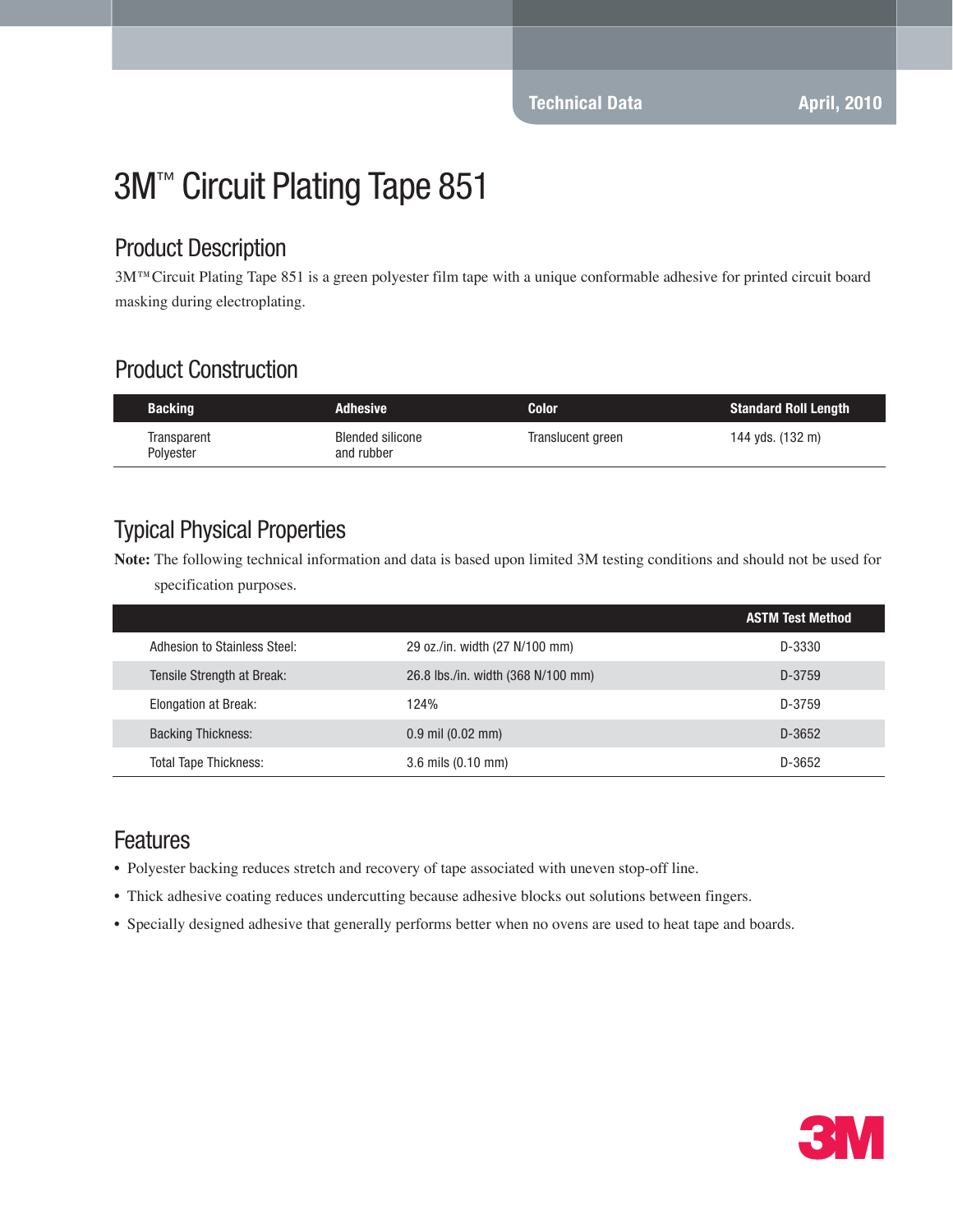# 3M™ Circuit Plating Tape 851

#### Product Description

3M™Circuit Plating Tape 851 is a green polyester film tape with a unique conformable adhesive for printed circuit board masking during electroplating.

## Product Construction

| <b>Backing</b>           | <b>Adhesive</b>                       | <b>Color</b>      | <b>Standard Roll Length</b> |
|--------------------------|---------------------------------------|-------------------|-----------------------------|
| Transparent<br>Polyester | <b>Blended silicone</b><br>and rubber | Translucent green | 144 yds. (132 m)            |

## Typical Physical Properties

**Note:** The following technical information and data is based upon limited 3M testing conditions and should not be used for specification purposes.

|                              |                                    | <b>ASTM Test Method</b> |
|------------------------------|------------------------------------|-------------------------|
| Adhesion to Stainless Steel: | 29 oz./in. width (27 N/100 mm)     | D-3330                  |
| Tensile Strength at Break:   | 26.8 lbs./in. width (368 N/100 mm) | D-3759                  |
| <b>Elongation at Break:</b>  | 124%                               | D-3759                  |
| <b>Backing Thickness:</b>    | $0.9$ mil $(0.02$ mm)              | D-3652                  |
| <b>Total Tape Thickness:</b> | 3.6 mils (0.10 mm)                 | D-3652                  |

#### Features

- Polyester backing reduces stretch and recovery of tape associated with uneven stop-off line.
- Thick adhesive coating reduces undercutting because adhesive blocks out solutions between fingers.
- Specially designed adhesive that generally performs better when no ovens are used to heat tape and boards.

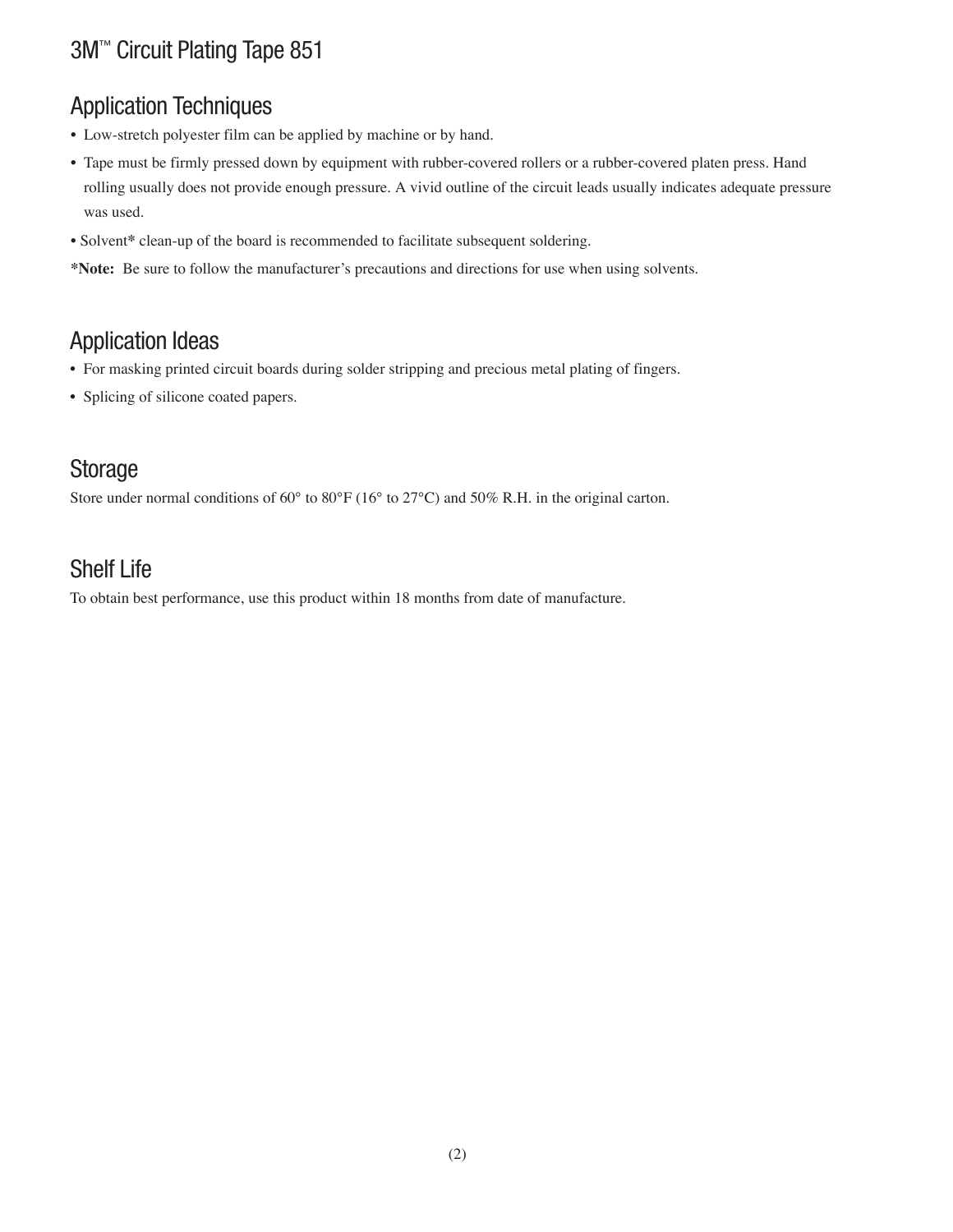# 3M™ Circuit Plating Tape 851

## Application Techniques

- Low-stretch polyester film can be applied by machine or by hand.
- Tape must be firmly pressed down by equipment with rubber-covered rollers or a rubber-covered platen press. Hand rolling usually does not provide enough pressure. A vivid outline of the circuit leads usually indicates adequate pressure was used.
- Solvent**\*** clean-up of the board is recommended to facilitate subsequent soldering.
- **\*Note:** Be sure to follow the manufacturer's precautions and directions for use when using solvents.

#### Application Ideas

- For masking printed circuit boards during solder stripping and precious metal plating of fingers.
- Splicing of silicone coated papers.

#### Storage

Store under normal conditions of 60° to 80°F (16° to 27°C) and 50% R.H. in the original carton.

## Shelf Life

To obtain best performance, use this product within 18 months from date of manufacture.